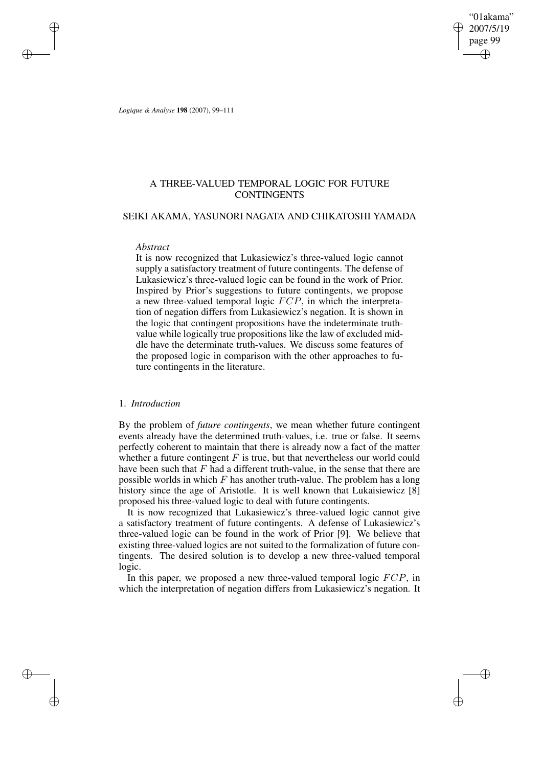"01akama" 2007/5/19 page 99 ✐ ✐

✐

✐

*Logique & Analyse* **198** (2007), 99–111

✐

✐

✐

✐

# A THREE-VALUED TEMPORAL LOGIC FOR FUTURE **CONTINGENTS**

## SEIKI AKAMA, YASUNORI NAGATA AND CHIKATOSHI YAMADA

#### *Abstract*

It is now recognized that Lukasiewicz's three-valued logic cannot supply a satisfactory treatment of future contingents. The defense of Lukasiewicz's three-valued logic can be found in the work of Prior. Inspired by Prior's suggestions to future contingents, we propose a new three-valued temporal logic FCP, in which the interpretation of negation differs from Lukasiewicz's negation. It is shown in the logic that contingent propositions have the indeterminate truthvalue while logically true propositions like the law of excluded middle have the determinate truth-values. We discuss some features of the proposed logic in comparison with the other approaches to future contingents in the literature.

### 1. *Introduction*

By the problem of *future contingents*, we mean whether future contingent events already have the determined truth-values, i.e. true or false. It seems perfectly coherent to maintain that there is already now a fact of the matter whether a future contingent  $F$  is true, but that nevertheless our world could have been such that  $F$  had a different truth-value, in the sense that there are possible worlds in which  $F$  has another truth-value. The problem has a long history since the age of Aristotle. It is well known that Lukaisiewicz [8] proposed his three-valued logic to deal with future contingents.

It is now recognized that Lukasiewicz's three-valued logic cannot give a satisfactory treatment of future contingents. A defense of Lukasiewicz's three-valued logic can be found in the work of Prior [9]. We believe that existing three-valued logics are not suited to the formalization of future contingents. The desired solution is to develop a new three-valued temporal logic.

In this paper, we proposed a new three-valued temporal logic  $FCP$ , in which the interpretation of negation differs from Lukasiewicz's negation. It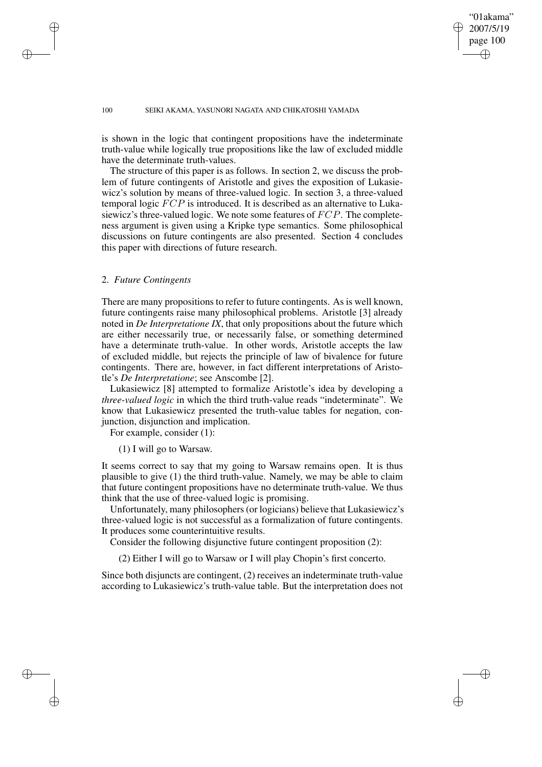## "01akama" 2007/5/19 page 100 ✐ ✐

✐

✐

#### 100 SEIKI AKAMA, YASUNORI NAGATA AND CHIKATOSHI YAMADA

is shown in the logic that contingent propositions have the indeterminate truth-value while logically true propositions like the law of excluded middle have the determinate truth-values.

The structure of this paper is as follows. In section 2, we discuss the problem of future contingents of Aristotle and gives the exposition of Lukasiewicz's solution by means of three-valued logic. In section 3, a three-valued temporal logic FCP is introduced. It is described as an alternative to Lukasiewicz's three-valued logic. We note some features of FCP. The completeness argument is given using a Kripke type semantics. Some philosophical discussions on future contingents are also presented. Section 4 concludes this paper with directions of future research.

### 2. *Future Contingents*

✐

✐

✐

✐

There are many propositions to refer to future contingents. As is well known, future contingents raise many philosophical problems. Aristotle [3] already noted in *De Interpretatione IX*, that only propositions about the future which are either necessarily true, or necessarily false, or something determined have a determinate truth-value. In other words, Aristotle accepts the law of excluded middle, but rejects the principle of law of bivalence for future contingents. There are, however, in fact different interpretations of Aristotle's *De Interpretatione*; see Anscombe [2].

Lukasiewicz [8] attempted to formalize Aristotle's idea by developing a *three-valued logic* in which the third truth-value reads "indeterminate". We know that Lukasiewicz presented the truth-value tables for negation, conjunction, disjunction and implication.

For example, consider (1):

### (1) I will go to Warsaw.

It seems correct to say that my going to Warsaw remains open. It is thus plausible to give (1) the third truth-value. Namely, we may be able to claim that future contingent propositions have no determinate truth-value. We thus think that the use of three-valued logic is promising.

Unfortunately, many philosophers(or logicians) believe that Lukasiewicz's three-valued logic is not successful as a formalization of future contingents. It produces some counterintuitive results.

Consider the following disjunctive future contingent proposition (2):

(2) Either I will go to Warsaw or I will play Chopin's first concerto.

Since both disjuncts are contingent, (2) receives an indeterminate truth-value according to Lukasiewicz's truth-value table. But the interpretation does not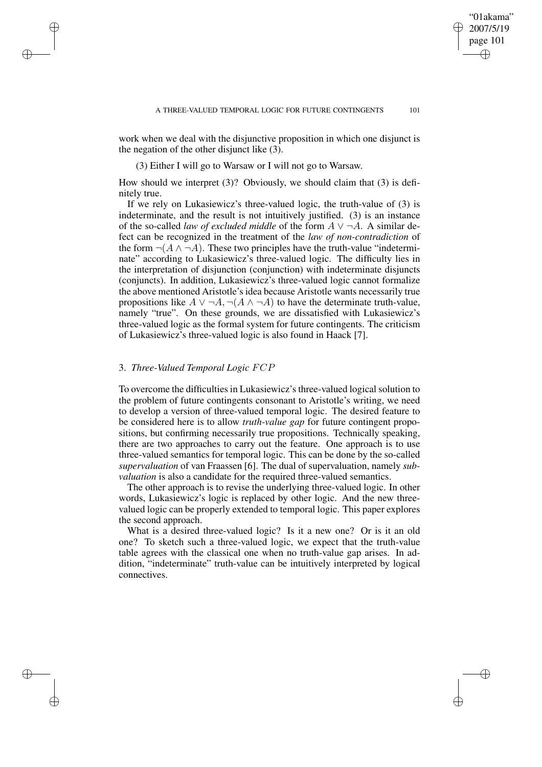work when we deal with the disjunctive proposition in which one disjunct is the negation of the other disjunct like  $(3)$ .

(3) Either I will go to Warsaw or I will not go to Warsaw.

How should we interpret (3)? Obviously, we should claim that (3) is definitely true.

If we rely on Lukasiewicz's three-valued logic, the truth-value of (3) is indeterminate, and the result is not intuitively justified. (3) is an instance of the so-called *law of excluded middle* of the form  $A \vee \neg A$ . A similar defect can be recognized in the treatment of the *law of non-contradiction* of the form  $\neg(A \land \neg A)$ . These two principles have the truth-value "indeterminate" according to Lukasiewicz's three-valued logic. The difficulty lies in the interpretation of disjunction (conjunction) with indeterminate disjuncts (conjuncts). In addition, Lukasiewicz's three-valued logic cannot formalize the above mentioned Aristotle's idea because Aristotle wants necessarily true propositions like  $A \lor \neg A, \neg(A \land \neg A)$  to have the determinate truth-value, namely "true". On these grounds, we are dissatisfied with Lukasiewicz's three-valued logic as the formal system for future contingents. The criticism of Lukasiewicz's three-valued logic is also found in Haack [7].

### 3. *Three-Valued Temporal Logic* FCP

✐

✐

✐

✐

To overcome the difficulties in Lukasiewicz's three-valued logical solution to the problem of future contingents consonant to Aristotle's writing, we need to develop a version of three-valued temporal logic. The desired feature to be considered here is to allow *truth-value gap* for future contingent propositions, but confirming necessarily true propositions. Technically speaking, there are two approaches to carry out the feature. One approach is to use three-valued semantics for temporal logic. This can be done by the so-called *supervaluation* of van Fraassen [6]. The dual of supervaluation, namely *subvaluation* is also a candidate for the required three-valued semantics.

The other approach is to revise the underlying three-valued logic. In other words, Lukasiewicz's logic is replaced by other logic. And the new threevalued logic can be properly extended to temporal logic. This paper explores the second approach.

What is a desired three-valued logic? Is it a new one? Or is it an old one? To sketch such a three-valued logic, we expect that the truth-value table agrees with the classical one when no truth-value gap arises. In addition, "indeterminate" truth-value can be intuitively interpreted by logical connectives.

"01akama" 2007/5/19 page 101

✐

✐

✐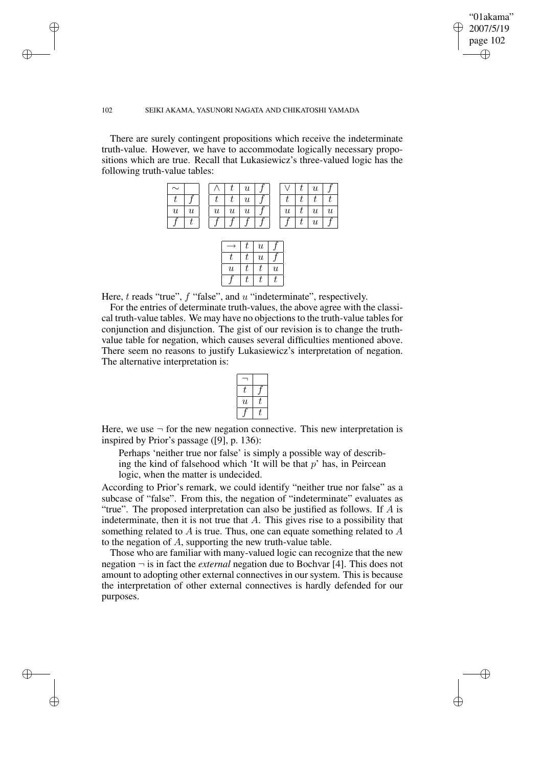✐

#### 102 SEIKI AKAMA, YASUNORI NAGATA AND CHIKATOSHI YAMADA

✐

✐

✐

✐

There are surely contingent propositions which receive the indeterminate truth-value. However, we have to accommodate logically necessary propositions which are true. Recall that Lukasiewicz's three-valued logic has the following truth-value tables:

| $\sim$           |                           |   |                  | u                         |  |  | $\boldsymbol{\mathit{u}}$ |  |
|------------------|---------------------------|---|------------------|---------------------------|--|--|---------------------------|--|
|                  |                           |   |                  | $\boldsymbol{\mathit{u}}$ |  |  |                           |  |
| $\boldsymbol{u}$ | $\boldsymbol{\mathit{u}}$ | u | $\boldsymbol{u}$ | $\boldsymbol{\mathit{u}}$ |  |  | $\boldsymbol{u}$          |  |
|                  |                           |   |                  |                           |  |  | $\boldsymbol{\mathit{u}}$ |  |

|                           | l, | $\boldsymbol{u}$          |                           |
|---------------------------|----|---------------------------|---------------------------|
| Т.                        | ľ, | $\boldsymbol{\mathit{u}}$ |                           |
| $\boldsymbol{\mathit{u}}$ | L  | T.                        | $\boldsymbol{\mathit{u}}$ |
|                           |    |                           |                           |

Here,  $t$  reads "true",  $f$  "false", and  $u$  "indeterminate", respectively.

For the entries of determinate truth-values, the above agree with the classical truth-value tables. We may have no objections to the truth-value tables for conjunction and disjunction. The gist of our revision is to change the truthvalue table for negation, which causes several difficulties mentioned above. There seem no reasons to justify Lukasiewicz's interpretation of negation. The alternative interpretation is:

| L                         |  |
|---------------------------|--|
| $\boldsymbol{\mathit{u}}$ |  |
|                           |  |

Here, we use  $\neg$  for the new negation connective. This new interpretation is inspired by Prior's passage ([9], p. 136):

Perhaps 'neither true nor false' is simply a possible way of describing the kind of falsehood which 'It will be that  $p$ ' has, in Peircean logic, when the matter is undecided.

According to Prior's remark, we could identify "neither true nor false" as a subcase of "false". From this, the negation of "indeterminate" evaluates as "true". The proposed interpretation can also be justified as follows. If  $A$  is indeterminate, then it is not true that  $A$ . This gives rise to a possibility that something related to  $A$  is true. Thus, one can equate something related to  $A$ to the negation of A, supporting the new truth-value table.

Those who are familiar with many-valued logic can recognize that the new negation ¬ is in fact the *external* negation due to Bochvar [4]. This does not amount to adopting other external connectives in our system. This is because the interpretation of other external connectives is hardly defended for our purposes.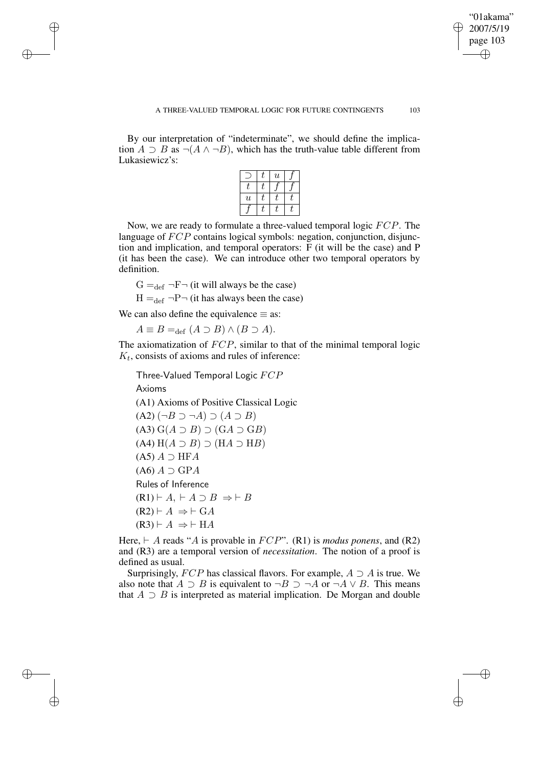✐

By our interpretation of "indeterminate", we should define the implication  $A \supset B$  as  $\neg(A \land \neg B)$ , which has the truth-value table different from Lukasiewicz's:

|                           | $\boldsymbol{\mathit{u}}$ |  |
|---------------------------|---------------------------|--|
|                           |                           |  |
| $\boldsymbol{\mathit{u}}$ |                           |  |
|                           |                           |  |

Now, we are ready to formulate a three-valued temporal logic FCP. The language of  $FCP$  contains logical symbols: negation, conjunction, disjunction and implication, and temporal operators: F (it will be the case) and P (it has been the case). We can introduce other two temporal operators by definition.

 $G =_{def} \neg F \neg$  (it will always be the case)

 $H =_{def} \neg P \neg$  (it has always been the case)

We can also define the equivalence  $\equiv$  as:

✐

✐

✐

✐

 $A \equiv B =_{\text{def}} (A \supset B) \wedge (B \supset A).$ 

The axiomatization of  $FCP$ , similar to that of the minimal temporal logic  $K_t$ , consists of axioms and rules of inference:

Three-Valued Temporal Logic FCP Axioms (A1) Axioms of Positive Classical Logic  $(A2)$   $(\neg B \supset \neg A) \supset (A \supset B)$  $(A3) G(A \supset B) \supset (GA \supset GB)$  $(A4)$  H $(A \supset B)$   $\supset$  (H $A \supset$  H $B$ )  $(A5) A \supset HFA$  $(A6) A \supset GPA$ Rules of Inference  $(R1) \vdash A, \vdash A \supset B \Rightarrow \vdash B$  $(R2) \vdash A \Rightarrow \vdash GA$  $(R3) \vdash A \Rightarrow \vdash \text{HA}$ 

Here,  $\vdash$  A reads "A is provable in FCP". (R1) is *modus ponens*, and (R2) and (R3) are a temporal version of *necessitation*. The notion of a proof is defined as usual.

Surprisingly,  $FCP$  has classical flavors. For example,  $A \supset A$  is true. We also note that  $A \supset B$  is equivalent to  $\neg B \supset \neg A$  or  $\neg A \vee B$ . This means that  $A \supset B$  is interpreted as material implication. De Morgan and double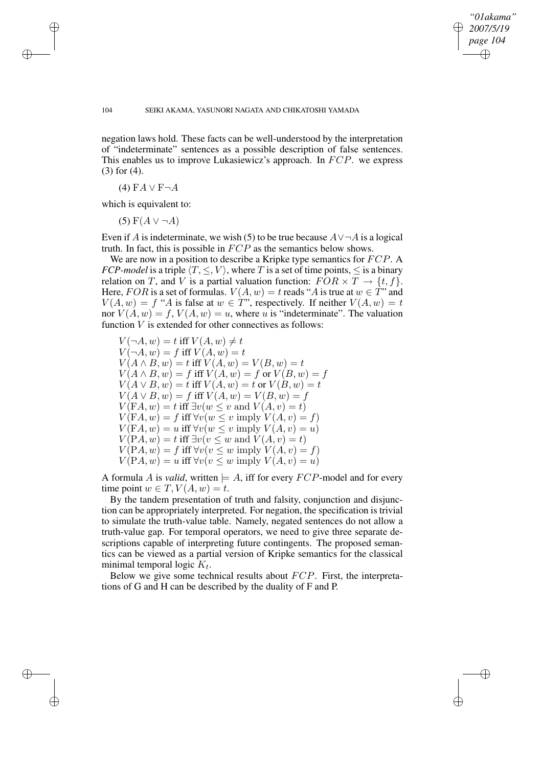✐

#### 104 SEIKI AKAMA, YASUNORI NAGATA AND CHIKATOSHI YAMADA

negation laws hold. These facts can be well-understood by the interpretation of "indeterminate" sentences as a possible description of false sentences. This enables us to improve Lukasiewicz's approach. In FCP. we express (3) for (4).

(4)  $FA \vee F\neg A$ 

✐

✐

✐

✐

which is equivalent to:

(5)  $F(A \vee \neg A)$ 

Even if A is indeterminate, we wish (5) to be true because  $A \vee \neg A$  is a logical truth. In fact, this is possible in FCP as the semantics below shows.

We are now in a position to describe a Kripke type semantics for FCP. A *FCP-model* is a triple  $\langle T, \leq, V \rangle$ , where T is a set of time points,  $\leq$  is a binary relation on T, and V is a partial valuation function:  $FOR \times T \rightarrow \{t, f\}.$ Here, FOR is a set of formulas.  $V(A, w) = t$  reads "A is true at  $w \in T$ " and  $V(A, w) = f "A$  is false at  $w \in T"$ , respectively. If neither  $V(A, w) = t$ nor  $V(A, w) = f, V(A, w) = u$ , where u is "indeterminate". The valuation function V is extended for other connectives as follows:

 $V(\neg A, w) = t$  iff  $V(A, w) \neq t$  $V(\neg A, w) = f$  iff  $V(A, w) = t$  $V(A \wedge B, w) = t$  iff  $V(A, w) = V(B, w) = t$  $V(A \wedge B, w) = f$  iff  $V(A, w) = f$  or  $V(B, w) = f$  $V(A \vee B, w) = t$  iff  $V(A, w) = t$  or  $V(B, w) = t$  $V(A \vee B, w) = f$  iff  $V(A, w) = V(B, w) = f$  $V(FA, w) = t$  iff  $\exists v (w \leq v \text{ and } V(A, v) = t)$  $V(FA, w) = f$  iff  $\forall v (w \leq v \text{ imply } V(A, v) = f)$  $V(FA, w) = u$  iff  $\forall v (w \leq v$  imply  $V(A, v) = u$ )  $V(PA, w) = t$  iff  $\exists v (v \leq w \text{ and } V(A, v) = t)$  $V(PA, w) = f$  iff  $\forall v (v \leq w \text{ imply } V(A, v) = f)$  $V(PA, w) = u$  iff  $\forall v (v \leq w \text{ imply } V(A, v) = u)$ 

A formula A is *valid*, written  $\models A$ , iff for every  $FCP$ -model and for every time point  $w \in T$ ,  $V(A, w) = t$ .

By the tandem presentation of truth and falsity, conjunction and disjunction can be appropriately interpreted. For negation, the specification is trivial to simulate the truth-value table. Namely, negated sentences do not allow a truth-value gap. For temporal operators, we need to give three separate descriptions capable of interpreting future contingents. The proposed semantics can be viewed as a partial version of Kripke semantics for the classical minimal temporal logic  $K_t$ .

Below we give some technical results about FCP. First, the interpretations of G and H can be described by the duality of F and P.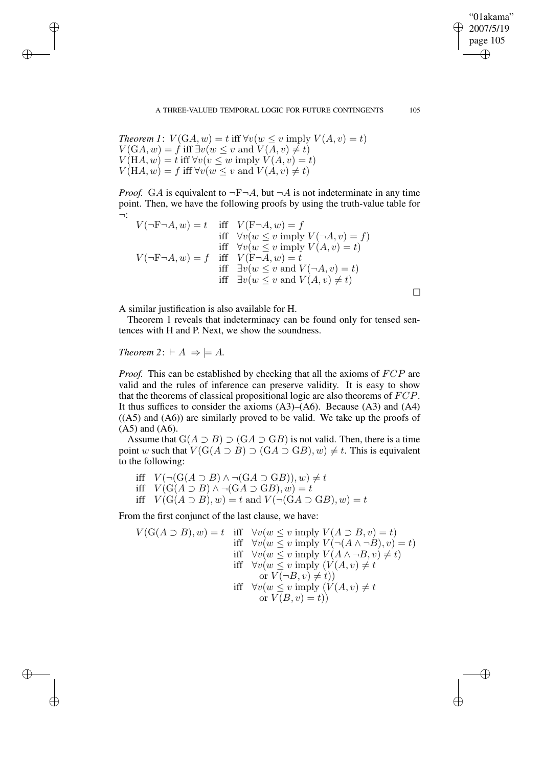*Theorem 1*:  $V(GA, w) = t$  iff  $\forall v (w \leq v \text{ imply } V(A, v) = t)$  $V(GA, w) = \hat{f}$  iff  $\exists v (w \leq v \text{ and } V(A, v) \neq t)$  $V(HA, w) = t$  iff  $\forall v (v \leq w \text{ imply } V(A, v) = t)$  $V(HA, w) = f$  iff  $\forall v (w \leq v \text{ and } V(A, v) \neq t)$ 

*Proof.* GA is equivalent to  $\neg$ F $\neg$ A, but  $\neg$ A is not indeterminate in any time point. Then, we have the following proofs by using the truth-value table for ¬:

$$
V(\neg F\neg A, w) = t
$$
 iff  $V(F\neg A, w) = f$   
iff  $\forall v(w \le v \text{ imply } V(\neg A, v) = f)$   
iff  $\forall v(w \le v \text{ imply } V(A, v) = t)$   

$$
V(\neg F\neg A, w) = f
$$
 iff  $V(F\neg A, w) = t$   
iff  $\exists v(w \le v \text{ and } V(\neg A, v) = t)$   
iff  $\exists v(w \le v \text{ and } V(A, v) \ne t)$ 

A similar justification is also available for H.

Theorem 1 reveals that indeterminacy can be found only for tensed sentences with H and P. Next, we show the soundness.

# *Theorem* 2:  $\vdash A \Rightarrow \models A$ .

✐

✐

✐

✐

*Proof.* This can be established by checking that all the axioms of  $FCP$  are valid and the rules of inference can preserve validity. It is easy to show that the theorems of classical propositional logic are also theorems of FCP. It thus suffices to consider the axioms  $(A3)$ – $(A6)$ . Because  $(A3)$  and  $(A4)$  $((A5)$  and  $(A6)$ ) are similarly proved to be valid. We take up the proofs of  $(A5)$  and  $(A6)$ .

Assume that  $G(A \supset B) \supset (GA \supset GB)$  is not valid. Then, there is a time point w such that  $V(G(A \supset B) \supset (GA \supset GB), w) \neq t$ . This is equivalent to the following:

iff  $V(\neg(G(A \supset B) \wedge \neg(GA \supset GB)), w) \neq t$ iff  $V(G(A \supset B) \wedge \neg(GA \supset GB), w) = t$ iff  $V(G(A \supset B), w) = t$  and  $V(\neg(GA \supset GB), w) = t$ 

From the first conjunct of the last clause, we have:

$$
V(G(A \supset B), w) = t \quad \text{iff} \quad \forall v(w \le v \text{ imply } V(A \supset B, v) = t)
$$
\n
$$
\text{iff} \quad \forall v(w \le v \text{ imply } V(\neg(A \land \neg B), v) = t)
$$
\n
$$
\text{iff} \quad \forall v(w \le v \text{ imply } V(A \land \neg B, v) \ne t)
$$
\n
$$
\text{iff} \quad \forall v(w \le v \text{ imply } (V(A, v) \ne t)
$$
\n
$$
\text{or } V(\neg B, v) \ne t)
$$
\n
$$
\text{iff} \quad \forall v(w \le v \text{ imply } (V(A, v) \ne t)
$$
\n
$$
\text{iff} \quad \forall v(w \le v \text{ imply } (V(A, v) \ne t)
$$
\n
$$
\text{or } V(B, v) = t)
$$

"01akama" 2007/5/19 page 105

✐

✐

✐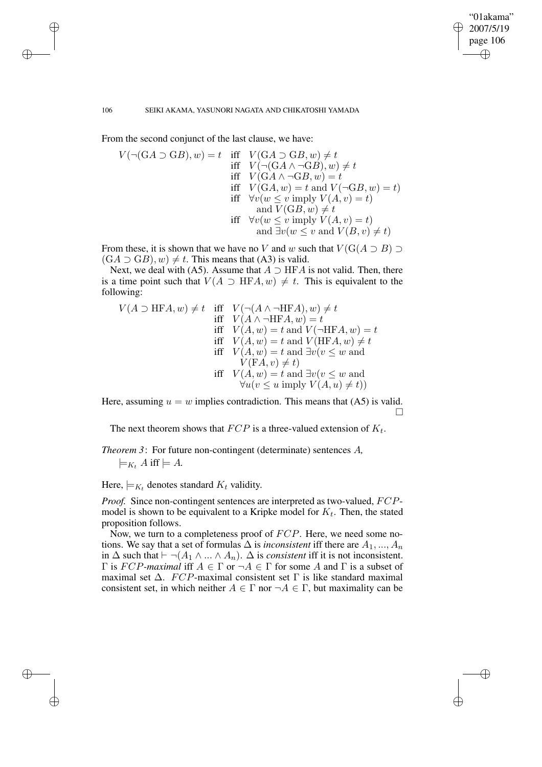✐

#### 106 SEIKI AKAMA, YASUNORI NAGATA AND CHIKATOSHI YAMADA

From the second conjunct of the last clause, we have:

$$
V(\neg(GA \supset GB), w) = t \quad \text{iff} \quad V(GA \supset GB, w) \neq t
$$
\n
$$
\text{iff} \quad V(\neg(GA \land \neg GB), w) \neq t
$$
\n
$$
\text{iff} \quad V(GA \land \neg GB, w) = t
$$
\n
$$
\text{iff} \quad V(GA, w) = t \text{ and } V(\neg GB, w) = t)
$$
\n
$$
\text{iff} \quad \forall v(w \leq v \text{ imply } V(A, v) = t)
$$
\n
$$
\text{and } V(GB, w) \neq t
$$
\n
$$
\text{iff} \quad \forall v(w \leq v \text{ imply } V(A, v) = t)
$$
\n
$$
\text{and } \exists v(w \leq v \text{ and } V(B, v) \neq t)
$$

From these, it is shown that we have no V and w such that  $V(G(A \supset B) \supset$  $(GA \supset GB), w) \neq t$ . This means that (A3) is valid.

Next, we deal with (A5). Assume that  $A \supset \text{HFA}$  is not valid. Then, there is a time point such that  $V(A \supset \text{HFA}, w) \neq t$ . This is equivalent to the following:

$$
V(A \supset \text{HFA}, w) \neq t \quad \text{iff} \quad V(\neg(A \land \neg \text{HFA}), w) \neq t
$$
\n
$$
\text{iff} \quad V(A \land \neg \text{HFA}, w) = t
$$
\n
$$
\text{iff} \quad V(A, w) = t \text{ and } V(\neg \text{HFA}, w) = t
$$
\n
$$
\text{iff} \quad V(A, w) = t \text{ and } V(\text{HFA}, w) \neq t
$$
\n
$$
\text{iff} \quad V(A, w) = t \text{ and } \exists v(v \leq w \text{ and } V(\text{FA}, v) \neq t)
$$
\n
$$
\text{iff} \quad V(A, w) = t \text{ and } \exists v(v \leq w \text{ and } V(u(v \leq u \text{ imply } V(A, u) \neq t))
$$

Here, assuming  $u = w$  implies contradiction. This means that (A5) is valid.  $\Box$ 

The next theorem shows that  $FCP$  is a three-valued extension of  $K_t$ .

*Theorem 3*: For future non-contingent (determinate) sentences A*,*  $\models_{K_t} A$  iff  $\models A$ .

Here,  $\models_{K_t}$  denotes standard  $K_t$  validity.

*Proof.* Since non-contingent sentences are interpreted as two-valued, FCPmodel is shown to be equivalent to a Kripke model for  $K_t$ . Then, the stated proposition follows.

Now, we turn to a completeness proof of FCP. Here, we need some notions. We say that a set of formulas  $\Delta$  is *inconsistent* iff there are  $A_1, ..., A_n$ in  $\Delta$  such that  $\vdash \neg(A_1 \land ... \land A_n)$ .  $\Delta$  is *consistent* iff it is not inconsistent. Γ is FCP*-maximal* iff A ∈ Γ or ¬A ∈ Γ for some A and Γ is a subset of maximal set  $\Delta$ . FCP-maximal consistent set Γ is like standard maximal consistent set, in which neither  $A \in \Gamma$  nor  $\neg A \in \Gamma$ , but maximality can be

✐

✐

✐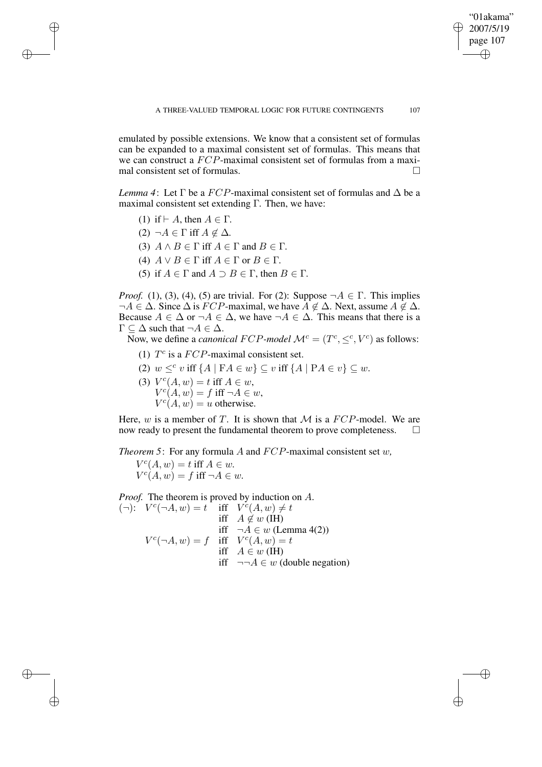✐

emulated by possible extensions. We know that a consistent set of formulas can be expanded to a maximal consistent set of formulas. This means that we can construct a FCP-maximal consistent set of formulas from a maximal consistent set of formulas.

*Lemma* 4: Let  $\Gamma$  be a  $FCP$ -maximal consistent set of formulas and  $\Delta$  be a maximal consistent set extending Γ*.* Then, we have:

(1) if  $\vdash$  A, then  $A \in \Gamma$ .

✐

✐

✐

✐

- $(2) \neg A \in \Gamma$  iff  $A \notin \Delta$ *.*
- (3)  $A \wedge B \in \Gamma$  iff  $A \in \Gamma$  and  $B \in \Gamma$ .
- (4)  $A \lor B \in \Gamma$  iff  $A \in \Gamma$  or  $B \in \Gamma$ .
- (5) if  $A \in \Gamma$  and  $A \supset B \in \Gamma$ , then  $B \in \Gamma$ .

*Proof.* (1), (3), (4), (5) are trivial. For (2): Suppose  $\neg A \in \Gamma$ . This implies  $\neg A \in \Delta$ . Since  $\Delta$  is  $FCP$ -maximal, we have  $\overline{A} \notin \Delta$ . Next, assume  $A \notin \Delta$ . Because  $A \in \Delta$  or  $\neg A \in \Delta$ , we have  $\neg A \in \Delta$ . This means that there is a  $\Gamma \subset \Delta$  such that  $\neg A \in \Delta$ .

Now, we define a *canonical FCP-model*  $\mathcal{M}^c = (T^c, \leq^c, V^c)$  as follows:

- (1)  $T^c$  is a  $FCP$ -maximal consistent set.
- (2)  $w \leq^c v$  iff  $\{A \mid \mathbf{F}A \in w\} \subseteq v$  iff  $\{A \mid \mathbf{P}A \in v\} \subseteq w$ .
- (3)  $V^{c}(A, w) = t$  iff  $A \in w$ ,  $V^{c}(A, w) = f$  iff  $\neg A \in w$ ,  $V^{c}(A, w) = u$  otherwise.

Here,  $w$  is a member of  $T$ . It is shown that  $M$  is a  $FCP$ -model. We are now ready to present the fundamental theorem to prove completeness.  $\Box$ 

*Theorem 5*: For any formula A and FCP-maximal consistent set w*,*  $V^c(A, w) = t$  iff  $A \in w$ .  $V^{c}(A, w) = f$  iff  $\neg A \in w$ .

*Proof.* The theorem is proved by induction on A. (-):  $V^c(\neg A, w) = t$  iff  $V^c(A, w) \neq t$ iff  $A \notin w$  (IH) iff  $\neg A \in w$  (Lemma 4(2))  $V^c(\neg A, w) = f$  iff  $V^c(A, w) = t$ iff  $A \in w$  (IH) iff  $\neg\neg A \in w$  (double negation)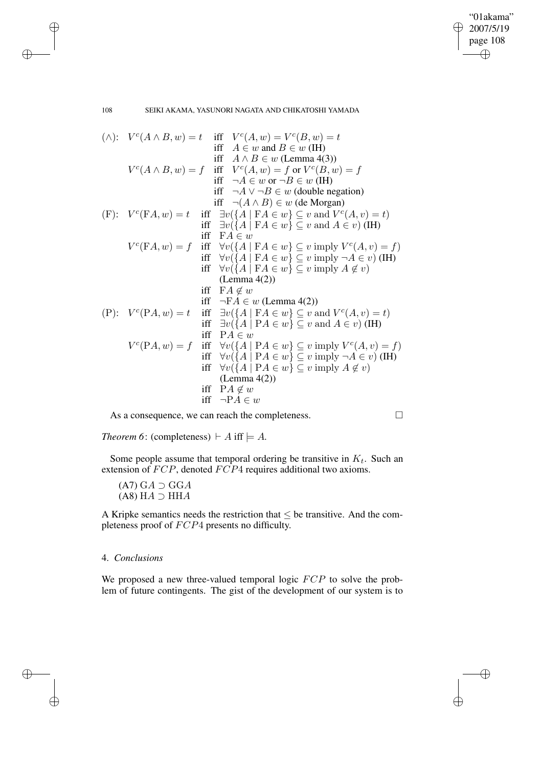✐

108 SEIKI AKAMA, YASUNORI NAGATA AND CHIKATOSHI YAMADA

\n- (A): 
$$
V^c(A \wedge B, w) = t
$$
 iff  $V^c(A, w) = V^c(B, w) = t$  iff  $A \in w$  and  $B \in w$  (IH)
\n- (A)  $\wedge B, w = f$  iff  $V^c(A, w) = f$  or  $V^c(B, w) = f$  iff  $\neg A \in w$  or  $\neg B \in w$  (IH)
\n- (F):  $V^c(\mathbf{F}A, w) = t$  iff  $\exists v \{A \mid \mathbf{F}A \in w\}$  or  $\neg B \in w$  (double negation)
\n- (F):  $V^c(\mathbf{F}A, w) = t$  iff  $\exists v \{A \mid \mathbf{F}A \in w\} \subseteq v$  and  $V^c(A, v) = t$ ) iff  $\exists v \{A \mid \mathbf{F}A \in w\} \subseteq v$  and  $A \in v$  (IH)
\n- (F):  $V^c(\mathbf{F}A, w) = t$  iff  $\exists v \{A \mid \mathbf{F}A \in w\} \subseteq v$  imply  $V^c(A, v) = f$ ) iff  $\forall v \{A \mid \mathbf{F}A \in w\} \subseteq v$  imply  $\neg A \in v$  (IH)
\n- (Lemma 4(2))
\n- (Iemma 4(2))
\n- (Iemma 4(2))
\n- (Iemma 4(2))
\n- (Iemma 4(2))
\n- (Iemma 4(2))
\n- (Iemma 4(2))
\n- (Iemma 4(2))
\n- (Iemma 4(2))
\n- (Iemma 4(2))
\n- (Iemma 4(2))
\n- (Iemma 4(2))
\n- (Iemma 4(2))
\n- (Iemma 4(2))
\n- (Iemma 4(2))
\n- (Iemma 4(2))
\n- (Iemma 4(2))
\n- (I

As a consequence, we can reach the completeness.

*Theorem* 6: (completeness)  $\vdash$  *A* iff  $\models$  *A*.

Some people assume that temporal ordering be transitive in  $K_t$ . Such an extension of  $FCP$ , denoted  $FCP4$  requires additional two axioms.

 $(A7) GA ⊇ GGA$  $(A8) HA \supset HHA$ 

A Kripke semantics needs the restriction that  $\leq$  be transitive. And the completeness proof of FCP4 presents no difficulty.

## 4. *Conclusions*

✐

✐

We proposed a new three-valued temporal logic  $FCP$  to solve the problem of future contingents. The gist of the development of our system is to

✐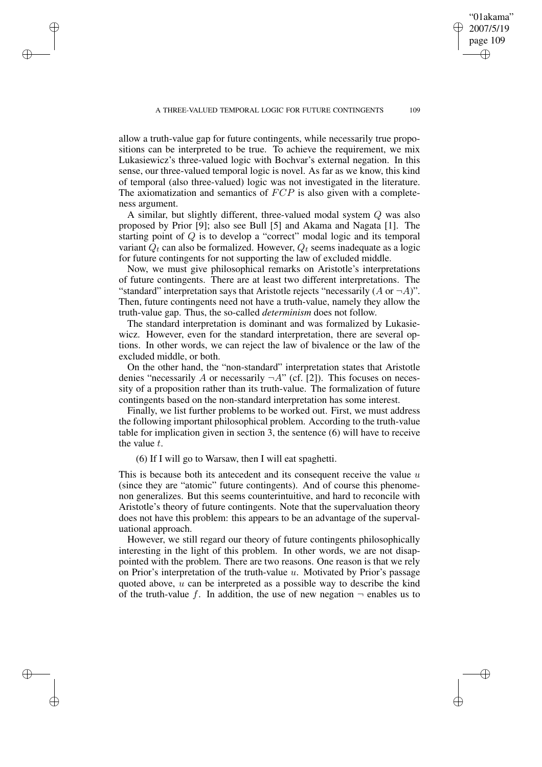allow a truth-value gap for future contingents, while necessarily true propositions can be interpreted to be true. To achieve the requirement, we mix Lukasiewicz's three-valued logic with Bochvar's external negation. In this sense, our three-valued temporal logic is novel. As far as we know, this kind of temporal (also three-valued) logic was not investigated in the literature. The axiomatization and semantics of  $FCP$  is also given with a completeness argument.

✐

✐

✐

✐

A similar, but slightly different, three-valued modal system Q was also proposed by Prior [9]; also see Bull [5] and Akama and Nagata [1]. The starting point of Q is to develop a "correct" modal logic and its temporal variant  $Q_t$  can also be formalized. However,  $Q_t$  seems inadequate as a logic for future contingents for not supporting the law of excluded middle.

Now, we must give philosophical remarks on Aristotle's interpretations of future contingents. There are at least two different interpretations. The "standard" interpretation says that Aristotle rejects "necessarily  $(A \text{ or } \neg A)$ ". Then, future contingents need not have a truth-value, namely they allow the truth-value gap. Thus, the so-called *determinism* does not follow.

The standard interpretation is dominant and was formalized by Lukasiewicz. However, even for the standard interpretation, there are several options. In other words, we can reject the law of bivalence or the law of the excluded middle, or both.

On the other hand, the "non-standard" interpretation states that Aristotle denies "necessarily A or necessarily  $\neg A$ " (cf. [2]). This focuses on necessity of a proposition rather than its truth-value. The formalization of future contingents based on the non-standard interpretation has some interest.

Finally, we list further problems to be worked out. First, we must address the following important philosophical problem. According to the truth-value table for implication given in section 3, the sentence (6) will have to receive the value  $t$ .

(6) If I will go to Warsaw, then I will eat spaghetti.

This is because both its antecedent and its consequent receive the value  $u$ (since they are "atomic" future contingents). And of course this phenomenon generalizes. But this seems counterintuitive, and hard to reconcile with Aristotle's theory of future contingents. Note that the supervaluation theory does not have this problem: this appears to be an advantage of the supervaluational approach.

However, we still regard our theory of future contingents philosophically interesting in the light of this problem. In other words, we are not disappointed with the problem. There are two reasons. One reason is that we rely on Prior's interpretation of the truth-value  $u$ . Motivated by Prior's passage quoted above,  $u$  can be interpreted as a possible way to describe the kind of the truth-value f. In addition, the use of new negation  $\neg$  enables us to

"01akama" 2007/5/19 page 109

✐

✐

✐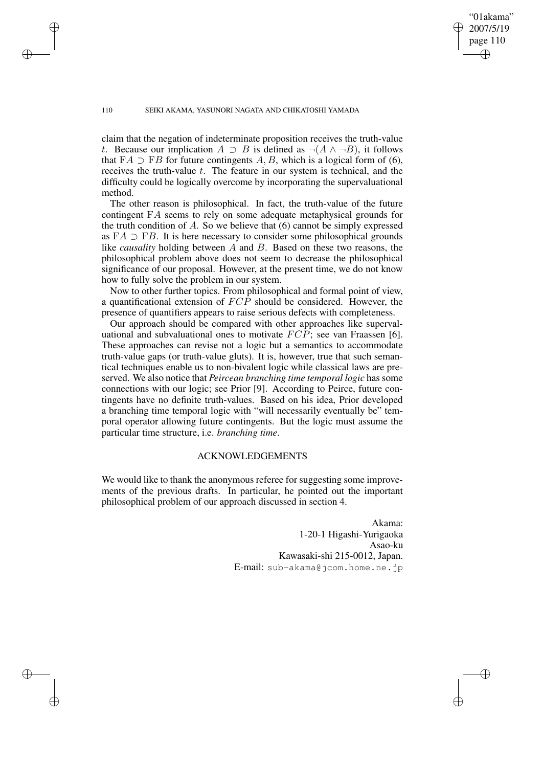✐

#### 110 SEIKI AKAMA, YASUNORI NAGATA AND CHIKATOSHI YAMADA

✐

✐

✐

✐

claim that the negation of indeterminate proposition receives the truth-value t. Because our implication  $A \supset B$  is defined as  $\neg(A \land \neg B)$ , it follows that  $FA \supset FB$  for future contingents A, B, which is a logical form of (6), receives the truth-value  $t$ . The feature in our system is technical, and the difficulty could be logically overcome by incorporating the supervaluational method.

The other reason is philosophical. In fact, the truth-value of the future contingent FA seems to rely on some adequate metaphysical grounds for the truth condition of  $A$ . So we believe that  $(6)$  cannot be simply expressed as  $FA \supset FB$ . It is here necessary to consider some philosophical grounds like *causality* holding between A and B. Based on these two reasons, the philosophical problem above does not seem to decrease the philosophical significance of our proposal. However, at the present time, we do not know how to fully solve the problem in our system.

Now to other further topics. From philosophical and formal point of view, a quantificational extension of FCP should be considered. However, the presence of quantifiers appears to raise serious defects with completeness.

Our approach should be compared with other approaches like supervaluational and subvaluational ones to motivate  $FCP$ ; see van Fraassen [6]. These approaches can revise not a logic but a semantics to accommodate truth-value gaps (or truth-value gluts). It is, however, true that such semantical techniques enable us to non-bivalent logic while classical laws are preserved. We also notice that *Peircean branching time temporal logic* has some connections with our logic; see Prior [9]. According to Peirce, future contingents have no definite truth-values. Based on his idea, Prior developed a branching time temporal logic with "will necessarily eventually be" temporal operator allowing future contingents. But the logic must assume the particular time structure, i.e. *branching time*.

## ACKNOWLEDGEMENTS

We would like to thank the anonymous referee for suggesting some improvements of the previous drafts. In particular, he pointed out the important philosophical problem of our approach discussed in section 4.

> Akama: 1-20-1 Higashi-Yurigaoka Asao-ku Kawasaki-shi 215-0012, Japan. E-mail: sub-akama@jcom.home.ne.jp